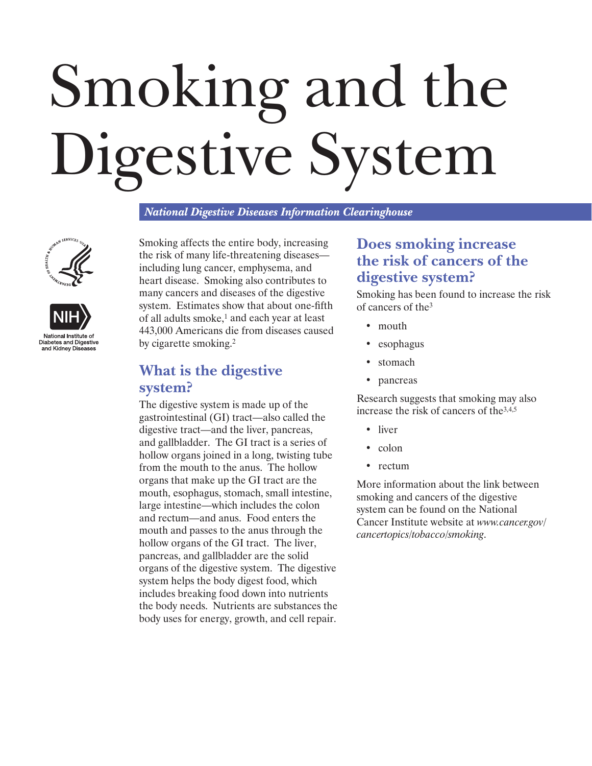# Smoking and the Digestive System

*National Digestive Diseases Information Clearinghouse Clearinghouse* 





Smoking affects the entire body, increasing the risk of many life-threatening diseases including lung cancer, emphysema, and heart disease. Smoking also contributes to many cancers and diseases of the digestive system. Estimates show that about one-fifth of all adults smoke, $1$  and each year at least 443,000 Americans die from diseases caused by cigarette smoking.2

# **What is the digestive system?**

The digestive system is made up of the gastrointestinal (GI) tract—also called the digestive tract—and the liver, pancreas, and gallbladder. The GI tract is a series of hollow organs joined in a long, twisting tube from the mouth to the anus. The hollow organs that make up the GI tract are the mouth, esophagus, stomach, small intestine, large intestine—which includes the colon and rectum—and anus. Food enters the mouth and passes to the anus through the hollow organs of the GI tract. The liver, pancreas, and gallbladder are the solid organs of the digestive system. The digestive system helps the body digest food, which includes breaking food down into nutrients the body needs. Nutrients are substances the body uses for energy, growth, and cell repair.

## **Does smoking increase the risk of cancers of the digestive system?**

Smoking has been found to increase the risk of cancers of the3

- $\bullet$  mouth
- esophagus
- stomach
- pancreas

Research suggests that smoking may also increase the risk of cancers of the3,4,5

- $\bullet$  liver
- $\bullet$  colon
- $\bullet$  rectum

More information about the link between smoking and cancers of the digestive system can be found on the National Cancer Institute website at *www.cancer.gov/ cancertopics/tobacco/smoking*.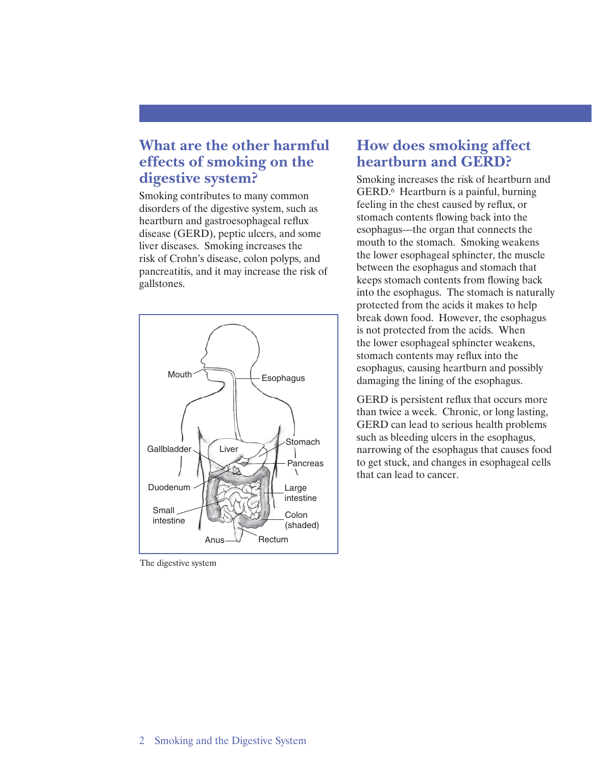### **What are the other harmful effects of smoking on the digestive system?**

Smoking contributes to many common disorders of the digestive system, such as heartburn and gastroesophageal reflux disease (GERD), peptic ulcers, and some liver diseases. Smoking increases the risk of Crohn's disease, colon polyps, and pancreatitis, and it may increase the risk of gallstones.



The digestive system

## **How does smoking affect heartburn and GERD?**

Smoking increases the risk of heartburn and GERD.6 Heartburn is a painful, burning feeling in the chest caused by reflux, or stomach contents flowing back into the esophagus—the organ that connects the mouth to the stomach. Smoking weakens the lower esophageal sphincter, the muscle between the esophagus and stomach that keeps stomach contents from flowing back into the esophagus. The stomach is naturally protected from the acids it makes to help break down food. However, the esophagus is not protected from the acids. When the lower esophageal sphincter weakens, stomach contents may reflux into the esophagus, causing heartburn and possibly damaging the lining of the esophagus.

GERD is persistent reflux that occurs more than twice a week. Chronic, or long lasting, GERD can lead to serious health problems such as bleeding ulcers in the esophagus, narrowing of the esophagus that causes food to get stuck, and changes in esophageal cells that can lead to cancer.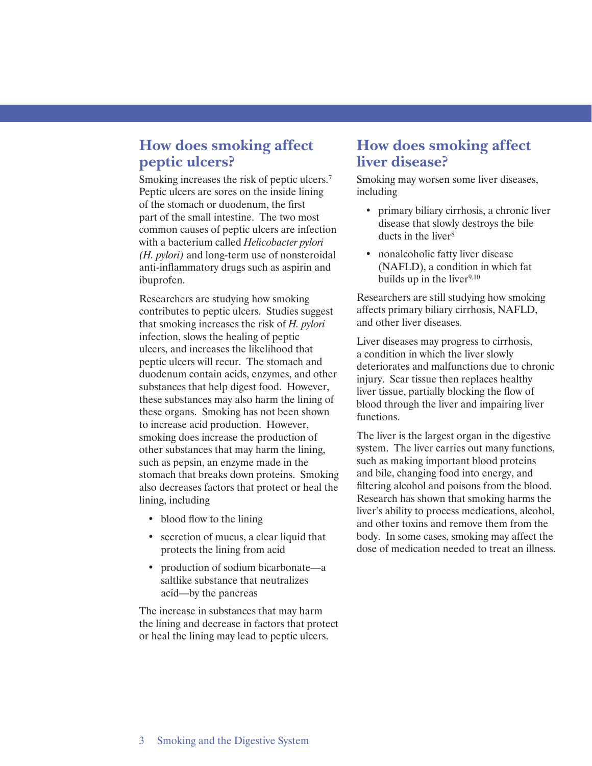### **How does smoking affect peptic ulcers?**

Smoking increases the risk of peptic ulcers.<sup>7</sup> Peptic ulcers are sores on the inside lining of the stomach or duodenum, the first part of the small intestine. The two most common causes of peptic ulcers are infection with a bacterium called *Helicobacter pylori (H. pylori)* and long-term use of nonsteroidal anti-inflammatory drugs such as aspirin and ibuprofen.

Researchers are studying how smoking contributes to peptic ulcers. Studies suggest that smoking increases the risk of *H. pylori*  infection, slows the healing of peptic ulcers, and increases the likelihood that peptic ulcers will recur. The stomach and duodenum contain acids, enzymes, and other substances that help digest food. However, these substances may also harm the lining of these organs. Smoking has not been shown to increase acid production. However, smoking does increase the production of other substances that may harm the lining, such as pepsin, an enzyme made in the stomach that breaks down proteins. Smoking also decreases factors that protect or heal the lining, including

- blood flow to the lining
- secretion of mucus, a clear liquid that protects the lining from acid
- production of sodium bicarbonate—a saltlike substance that neutralizes acid—by the pancreas

The increase in substances that may harm the lining and decrease in factors that protect or heal the lining may lead to peptic ulcers.

#### **How does smoking affect liver disease?**

Smoking may worsen some liver diseases, including

- primary biliary cirrhosis, a chronic liver disease that slowly destroys the bile ducts in the liver<sup>8</sup>
- nonalcoholic fatty liver disease (NAFLD), a condition in which fat builds up in the liver $9,10$

Researchers are still studying how smoking affects primary biliary cirrhosis, NAFLD, and other liver diseases.

Liver diseases may progress to cirrhosis, a condition in which the liver slowly deteriorates and malfunctions due to chronic injury. Scar tissue then replaces healthy liver tissue, partially blocking the flow of blood through the liver and impairing liver functions.

The liver is the largest organ in the digestive system. The liver carries out many functions, such as making important blood proteins and bile, changing food into energy, and filtering alcohol and poisons from the blood. Research has shown that smoking harms the liver's ability to process medications, alcohol, and other toxins and remove them from the body. In some cases, smoking may affect the dose of medication needed to treat an illness.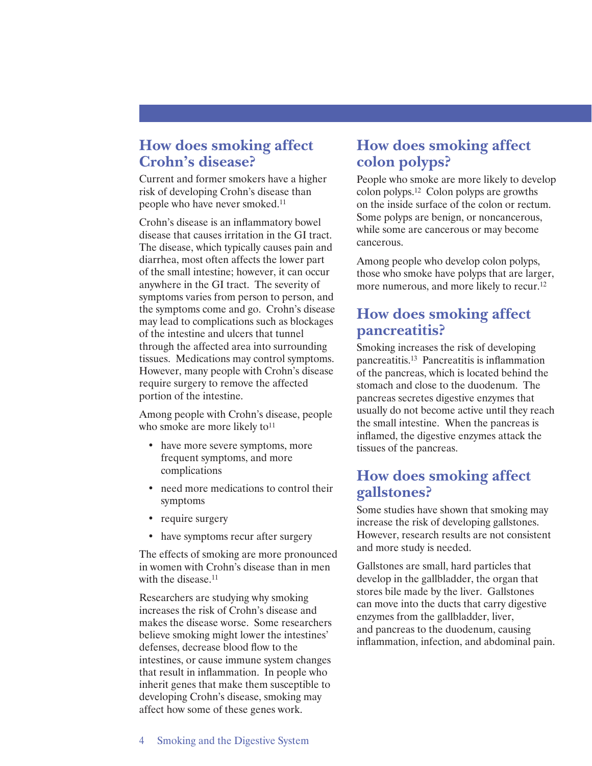### **How does smoking affect Crohn's disease?**

Current and former smokers have a higher risk of developing Crohn's disease than people who have never smoked.11

Crohn's disease is an inflammatory bowel disease that causes irritation in the GI tract. The disease, which typically causes pain and diarrhea, most often affects the lower part of the small intestine; however, it can occur anywhere in the GI tract. The severity of symptoms varies from person to person, and the symptoms come and go. Crohn's disease may lead to complications such as blockages of the intestine and ulcers that tunnel through the affected area into surrounding tissues. Medications may control symptoms. However, many people with Crohn's disease require surgery to remove the affected portion of the intestine.

Among people with Crohn's disease, people who smoke are more likely  $to<sup>11</sup>$ 

- have more severe symptoms, more frequent symptoms, and more complications
- need more medications to control their symptoms
- require surgery
- have symptoms recur after surgery

The effects of smoking are more pronounced in women with Crohn's disease than in men with the disease.<sup>11</sup>

Researchers are studying why smoking increases the risk of Crohn's disease and makes the disease worse. Some researchers believe smoking might lower the intestines' defenses, decrease blood flow to the intestines, or cause immune system changes that result in inflammation. In people who inherit genes that make them susceptible to developing Crohn's disease, smoking may affect how some of these genes work.

# **How does smoking affect colon polyps?**

People who smoke are more likely to develop colon polyps.12 Colon polyps are growths on the inside surface of the colon or rectum. Some polyps are benign, or noncancerous, while some are cancerous or may become cancerous.

Among people who develop colon polyps, those who smoke have polyps that are larger, more numerous, and more likely to recur.12

# **How does smoking affect pancreatitis?**

Smoking increases the risk of developing pancreatitis.13 Pancreatitis is inflammation of the pancreas, which is located behind the stomach and close to the duodenum. The pancreas secretes digestive enzymes that usually do not become active until they reach the small intestine. When the pancreas is inflamed, the digestive enzymes attack the tissues of the pancreas.

# **How does smoking affect gallstones?**

Some studies have shown that smoking may increase the risk of developing gallstones. However, research results are not consistent and more study is needed.

Gallstones are small, hard particles that develop in the gallbladder, the organ that stores bile made by the liver. Gallstones can move into the ducts that carry digestive enzymes from the gallbladder, liver, and pancreas to the duodenum, causing inflammation, infection, and abdominal pain.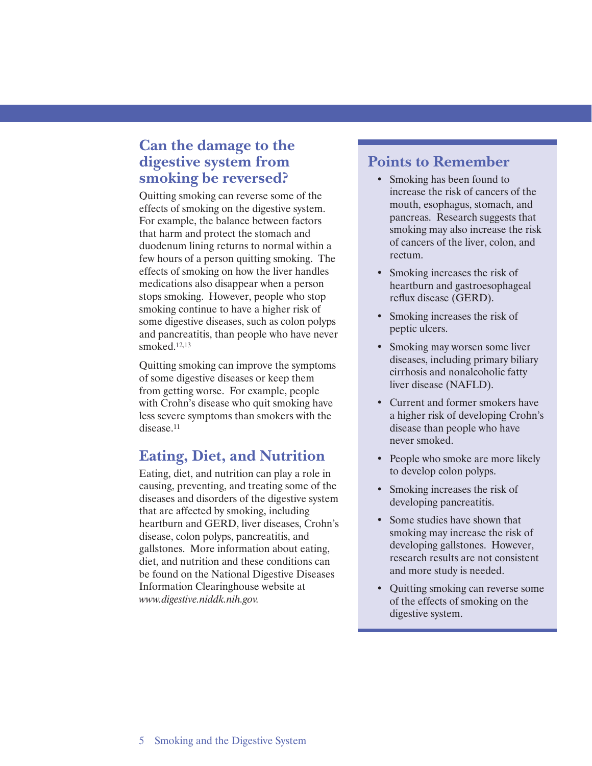#### **Can the damage to the digestive system from smoking be reversed?**

Quitting smoking can reverse some of the effects of smoking on the digestive system. For example, the balance between factors that harm and protect the stomach and duodenum lining returns to normal within a few hours of a person quitting smoking. The effects of smoking on how the liver handles medications also disappear when a person stops smoking. However, people who stop smoking continue to have a higher risk of some digestive diseases, such as colon polyps and pancreatitis, than people who have never smoked.12,13

Quitting smoking can improve the symptoms of some digestive diseases or keep them from getting worse. For example, people with Crohn's disease who quit smoking have less severe symptoms than smokers with the disease.<sup>11</sup>

# **Eating, Diet, and Nutrition**

Eating, diet, and nutrition can play a role in causing, preventing, and treating some of the diseases and disorders of the digestive system that are affected by smoking, including heartburn and GERD, liver diseases, Crohn's disease, colon polyps, pancreatitis, and gallstones. More information about eating, diet, and nutrition and these conditions can be found on the National Digestive Diseases Information Clearinghouse website at *www.digestive.niddk.nih.gov.* 

#### **Points to Remember**

- Smoking has been found to increase the risk of cancers of the mouth, esophagus, stomach, and pancreas. Research suggests that smoking may also increase the risk of cancers of the liver, colon, and rectum.
- Smoking increases the risk of heartburn and gastroesophageal reflux disease (GERD).
- Smoking increases the risk of peptic ulcers.
- Smoking may worsen some liver diseases, including primary biliary cirrhosis and nonalcoholic fatty liver disease (NAFLD).
- Current and former smokers have a higher risk of developing Crohn's disease than people who have never smoked.
- People who smoke are more likely to develop colon polyps.
- Smoking increases the risk of developing pancreatitis.
- Some studies have shown that smoking may increase the risk of developing gallstones. However, research results are not consistent and more study is needed.
- Quitting smoking can reverse some of the effects of smoking on the digestive system.